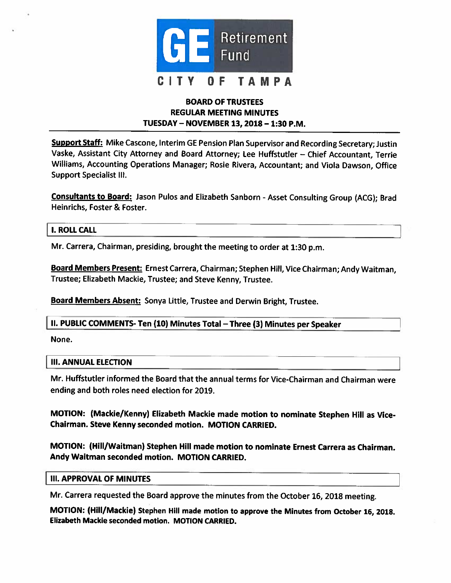

# BOARD OF TRUSTEES REGULAR MEETING MINUTES TUESDAY — NOVEMBER 13, 2018— 1:30 P.M.

Support Staff: Mike Cascone, Interim GE Pension Plan Supervisor and Recording Secretary; Justin Vaske, Assistant City Attorney and Board Attorney; Lee Huffstutler — Chief Accountant, Terrie Williams, Accounting Operations Manager; Rosie Rivera, Accountant; and Viola Dawson, Office Support Specialist Ill.

Consultants to Board: Jason Pulos and Elizabeth Sanborn - Asset Consulting Group (ACG); Brad Heinrichs, Foster & Foster.

#### I. ROLL CALL

Mr. Carrera, Chairman, presiding, brought the meeting to order at 1:30 p.m.

Board Members Present: Ernest Carrera, Chairman; Stephen Hill, Vice Chairman; Andy Waitman, Trustee; Elizabeth Mackie, Trustee; and Steve Kenny, Trustee.

Board Members Absent: Sonya little, Trustee and Derwin Bright, Trustee.

#### II. PUBLIC COMMENTS- Ten (10) Minutes Total —Three (3) Minutes per Speaker

None.

#### III. ANNUAL ELECTION

Mr. Huffstutler informed the Board that the annual terms for Vice-Chairman and Chairman were ending and both roles need election for 2019.

MOTION: (Mackie/Kenny) Elizabeth Mackie made motion to nominate Stephen Hill as Vice-Chairman. Steve Kenny seconded motion. MOTION CARRIED.

MOTION: (Hill/Waitman) Stephen Hill made motion to nominate Ernest Carrera as Chairman. Andy Waitman seconded motion. MOTION CARRIED.

#### **III. APPROVAL OF MINUTES**

Mr. Carrera requested the Board approve the minutes from the October 16, <sup>2018</sup> meeting.

MOTION: (Hill/Mackie) Stephen Hill made motion to approve the Minutes from October 16, 2018. Elizabeth Mackie seconded motion. MOTION CARRIED.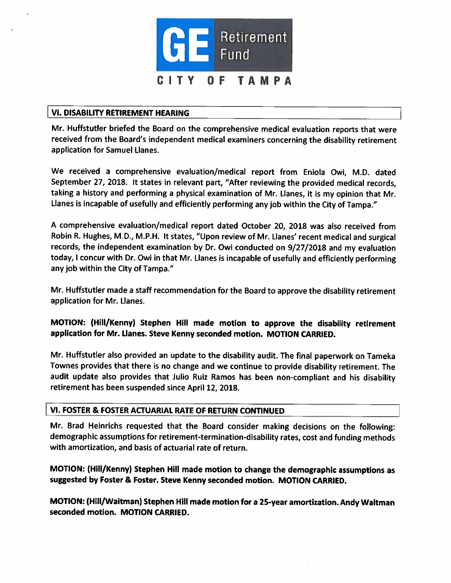

### VI. DISABILITY RETIREMENT HEARING

Mr. Huffstutler briefed the Board on the comprehensive medical evaluation reports that were received from the Board's independent medical examiners concerning the disability retirement application for Samuel Llanes.

We received <sup>a</sup> comprehensive evaluation/medical repor<sup>t</sup> from Eniola Owi, M.D. dated September 27, 2018. It states in relevant part, "After reviewing the provided medical records, taking <sup>a</sup> history and performing <sup>a</sup> <sup>p</sup>hysical examination of Mr. Llanes, it is my opinion that Mr. Llanes is incapable of usefully and efficiently performing any job within the City of Tampa."

<sup>A</sup> comprehensive evaluation/medical repor<sup>t</sup> dated October 20, <sup>2018</sup> was also received from Robin R. Hughes, M.D., M.P.H. It states, "Upon review of Mr. Llanes' recent medical and surgical records, the independent examination by Dr. Owi conducted on 9/27/2018 and my evaluation today, <sup>I</sup> concur with Dr. Owi in that Mr. Llanes is incapable of usefully and efficiently performing any job within the City of Tampa."

Mr. Huffstutler made <sup>a</sup> staff recommendation for the Board to approve the disability retirement application for Mr. Llanes.

MOTION: (Hill/Kenny) Stephen Hill made motion to approve the disability retirement application for Mr. Llanes. Steve Kenny seconded motion. MOTION CARRIED.

Mr. Huffstutler also provided an update to the disability audit. The final paperwor<sup>k</sup> on Tameka Townes provides that there is no change and we continue to provide disability retirement. The audit update also provides that Julio Ruiz Ramos has been non-compliant and his disability retirement has been suspended since April 12, 2018.

### VI. FOSTER & FOSTER ACTUARIAL RATE OF RETURN CONTINUED

Mr. Brad Heinrichs requested that the Board consider making decisions on the following: demographic assumptions for retirement-termination-disability rates, cost and funding methods with amortization, and basis of actuarial rate of return.

MOTION: (Hill/Kenny) Stephen Hill made motion to change the demographic assumptions as suggested by Foster & Foster. Steve Kenny seconded motion. MOTION CARRIED.

MOTION: (Hill/Waitman) Stephen Hill made motion for <sup>a</sup> 25-year amortization. Andy Waitman seconded motion. MOTION CARRIED.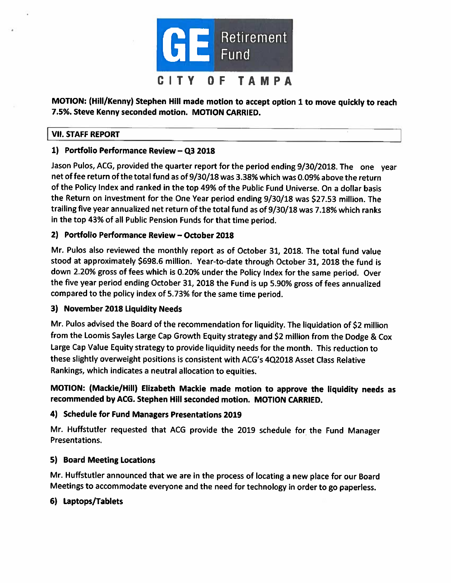

MOTION: (Hill/Kenny) Stephen Hill made motion to accep<sup>t</sup> option <sup>1</sup> to move quickly to reach 7.5%. Steve Kenny seconded motion. MOTION CARRIED.

# VII. STAFF REPORT

# 1) Portfolio Performance Review — Q3 2018

Jason Pulos, ACG, provided the quarter report for the period ending 9/30/2018. The one year net of fee return of the total fund as of 9/30/18 was 3.38% which was 0.09% above the return of the Policy Index and ranked in the top 49% of the Public Fund Universe. On <sup>a</sup> dollar basis the Return on Investment for the One Year period ending 9/30/18 was \$27.53 million. The trailing five year annualized net return of the total fund as of 9/30/18 was 7.18% which ranks in the top 43% of all Public Pension Funds for that time period.

# 2) Portfolio Performance Review — October 2018

Mr. Pubs also reviewed the monthly repor<sup>t</sup> as of October 31, 2018. The total fund value stood at approximately \$698.6 million. Year-to-date through October 31, <sup>2018</sup> the fund is down 2.20% gross of fees which is 0.20% under the Policy Index for the same period. Over the five year period ending October 31, <sup>2018</sup> the Fund is up 5.90% gross of fees annualized compare<sup>d</sup> to the policy index of 5.73% for the same time period.

# 3) November 2018 Liquidity Needs

Mr. Pubs advised the Board of the recommendation for liquidity. The liquidation of \$2 million from the Loomis Sayles Large Cap Growth Equity strategy and \$2 million from the Dodge & Cox Large Cap Value Equity strategy to provide liquidity needs for the month. This reduction to these slightly overweight positions is consistent with ACG's 4Q2018 Asset Class Relative Rankings, which indicates <sup>a</sup> neutral allocation to equities.

MOTION: (Mackie/Hill) Elizabeth Mackie made motion to approve the liquidity needs as recommended by ACG. Stephen Hill seconded motion. MOTION CARRIED.

# 4) Schedule for Fund Managers Presentations 2019

Mr. Huffstutler requested that ACG provide the 2019 schedule for the Fund Manager Presentations.

# 5) Board Meeting Locations

Mr. Huffstutler announced that we are in the process of locating <sup>a</sup> new <sup>p</sup>lace for our Board Meetings to accommodate everyone and the need for technology in order to go paperless.

# 6) Laptops/Tablets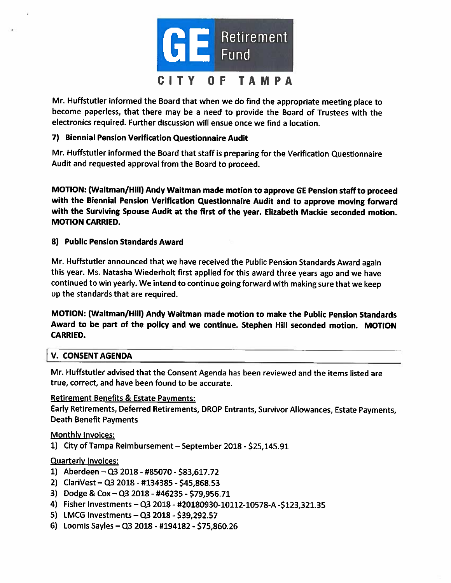

Mr. Huffstutler informed the Board that when we do find the appropriate meeting <sup>p</sup>lace to become paperless, that there may be <sup>a</sup> need to provide the Board of Trustees with the electronics required. Further discussion will ensue once we find <sup>a</sup> location.

### 7) Biennial Pension Verification Questionnaire Audit

Mr. Huffstutler informed the Board that staff is preparing for the Verification Questionnaire Audit and requested approval from the Board to proceed.

MOTION: (Waitman/Hill) Andy Waitman made motion to approve GE Pension staff to proceed with the Biennial Pension Verification Questionnaire Audit and to approve moving forward with the Surviving Spouse Audit at the first of the year. Elizabeth Mackie seconded motion. MOTION CARRIED.

### 8) Public Pension Standards Award

Mr. Huffstutler announced that we have received the Public Pension Standards Award again this year. Ms. Natasha Wiederholt first applied for this award three years ago and we have continued to win yearly. We intend to continue going forward with making sure that we keep up the standards that are required.

MOTION: (Waitman/Hill) Andy Waitman made motion to make the Public Pension Standards Award to be part of the policy and we continue. Stephen Hill seconded motion. MOTION CARRIED.

### V. CONSENT AGENDA

Mr. Huffstutler advised that the Consent Agenda has been reviewed and the items listed are true, correct, and have been found to be accurate.

# Retirement Benefits & Estate Payments:

Early Retirements, Deferred Retirements, DROP Entrants, Survivor Allowances, Estate Payments, Death Benefit Payments

### Monthly Invoices:

1) City of Tampa Reimbursement - September 2018 - \$25,145.91

### Quarterly Invoices:

- 1) Aberdeen —03 2018- #85070 \$83,617.72
- 2) ClariVest —03 2018- #134385 -\$45,868.53
- 3) Dodge & Cox —03 2018 -#46235 \$79,956.71
- 4) Fisher Investments —03 2018- #20180930-10112-10578-A -\$123,321.35
- 5) LMCG Investments  $-$  Q3 2018 \$39,292.57
- 6) Loomis Sayles —03 2018 -#194182 -\$75,860.26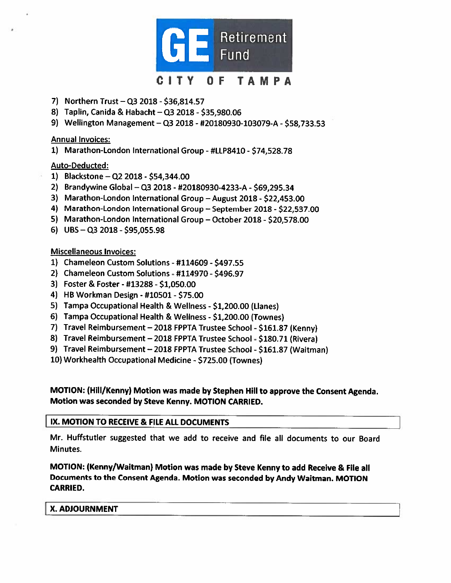

- 7) Northern Trust Q3 2018 \$36,814.57
- 8) Taplin, Canida & Habacht Q3 2018 \$35,980.06
- 9) Wellington Management Q3 2018 #20180930-103079-A \$58,733.53

#### Annual Invoices:

1) Marathon-London International Group -#LLP841O -\$74,528.78

### Auto-Deducted:

- 1) Blackstone —02 2018 \$54,344.00
- 2) Brandywine Global —03 2018- #20180930-4233-A \$69,295.34
- 3) Marathon-London International Group August 2018 \$22,453.00
- 4) Marathon-London International Group September 2018 \$22,537.00
- 5) Marathon-London International Group October 2018 \$20,578.00
- 6) UBS  $-$  Q3 2018 \$95,055.98

#### Miscellaneous Invoices:

- 1) Chameleon Custom Solutions #114609 \$497.55
- 2) Chameleon Custom Solutions #114970 \$496.97
- 3) Foster & Foster -#13288 -\$1,050.00
- 4) HB Workman Design #10501 -\$75.00
- 5) Tampa Occupational Health & Wellness \$1,200.00 (Llanes)
- 6) Tampa Occupational Health & Wellness \$1,200.00 (Townes)
- 7) Travel Reimbursement 2018 FPPTA Trustee School \$161.87 (Kenny)
- 8) Travel Reimbursement 2018 FPPTA Trustee School \$180.71 (Rivera)
- 9) Travel Reimbursement 2018 FPPTA Trustee School \$161.87 (Waitman)
- 10) Workhealth Occupational Medicine \$725.00 (Townes)

MOTION: (Hill/Kenny) Motion was made by Stephen Hill to approve the Consent Agenda. Motion was seconded by Steve Kenny. MOTION CARRIED.

#### IX. MOTION TO RECEIVE & FILE ALL DOCUMENTS

Mr. Huffstutler suggested that we add to receive and file all documents to our Board Minutes.

MOTION: (Kenny/Waitman) Motion was made by Steve Kenny to add Receive & File all Documents to the Consent Agenda. Motion was seconded by Andy Waitman. MOTION CARRIED.

#### X. ADJOURNMENT